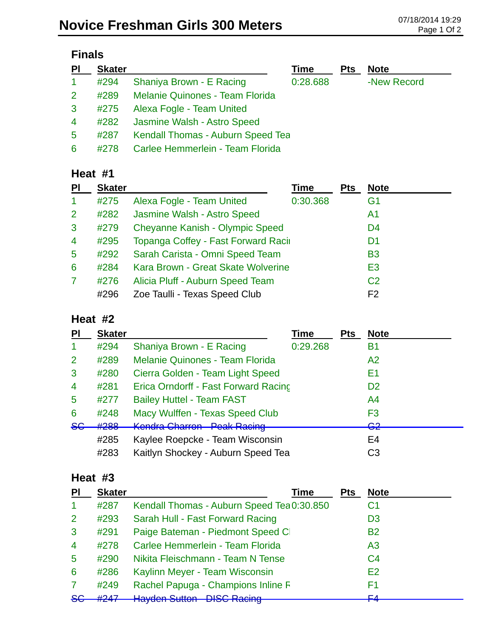| <b>Finals</b>  |               |                                        |          |            |             |  |
|----------------|---------------|----------------------------------------|----------|------------|-------------|--|
| <b>PI</b>      | <b>Skater</b> |                                        | Time     | <b>Pts</b> | <b>Note</b> |  |
|                | #294          | Shaniya Brown - E Racing               | 0:28.688 |            | -New Record |  |
| $\overline{2}$ | #289          | <b>Melanie Quinones - Team Florida</b> |          |            |             |  |
| $\mathbf{3}$   |               | #275 Alexa Fogle - Team United         |          |            |             |  |
|                |               | 1282 Lasmine Walsh - Astro Speed       |          |            |             |  |

| #282 | Jasmine Walsh - Astro Speed   |  |
|------|-------------------------------|--|
| 4007 | Kondall Thomas Auburn Chood J |  |

5 #287 Kendall Thomas - Auburn Speed Tea

6 #278 Carlee Hemmerlein - Team Florida

### **Heat #1**

| PI             | <b>Skater</b> |                                        | Time     | <b>Pts</b> | <b>Note</b>    |
|----------------|---------------|----------------------------------------|----------|------------|----------------|
| $\mathbf{1}$   | #275          | Alexa Fogle - Team United              | 0:30.368 |            | G <sub>1</sub> |
| 2              | #282          | Jasmine Walsh - Astro Speed            |          |            | A1             |
| 3              | #279          | <b>Cheyanne Kanish - Olympic Speed</b> |          |            | D <sub>4</sub> |
| $\overline{4}$ | #295          | Topanga Coffey - Fast Forward Racir    |          |            | D <sub>1</sub> |
| 5              | #292          | Sarah Carista - Omni Speed Team        |          |            | <b>B3</b>      |
| 6              | #284          | Kara Brown - Great Skate Wolverine     |          |            | E <sub>3</sub> |
| $\overline{7}$ | #276          | Alicia Pluff - Auburn Speed Team       |          |            | C <sub>2</sub> |
|                | #296          | Zoe Taulli - Texas Speed Club          |          |            | F <sub>2</sub> |

### **Heat #2**

| PI             | <b>Skater</b> |                                                         | <b>Time</b> | <b>Pts</b> | <b>Note</b>        |
|----------------|---------------|---------------------------------------------------------|-------------|------------|--------------------|
|                | #294          | Shaniya Brown - E Racing                                | 0:29.268    |            | <b>B1</b>          |
| 2              | #289          | <b>Melanie Quinones - Team Florida</b>                  |             |            | A2                 |
| 3              | #280          | Cierra Golden - Team Light Speed                        |             |            | E1                 |
| $\overline{4}$ | #281          | Erica Orndorff - Fast Forward Racing                    |             |            | D <sub>2</sub>     |
| 5              | #277          | <b>Bailey Huttel - Team FAST</b>                        |             |            | A4                 |
| 6              | #248          | Macy Wulffen - Texas Speed Club                         |             |            | F3                 |
| <del>SG</del>  | #288          | Kandra Charran Daak Paging<br><u>INGHURU GIRCHI GIR</u> |             |            | ററ<br>$\mathbf{v}$ |
|                | #285          | Kaylee Roepcke - Team Wisconsin                         |             |            | E4                 |
|                | #283          | Kaitlyn Shockey - Auburn Speed Tea                      |             |            | C <sub>3</sub>     |

### **Heat #3**

| PI             | <b>Skater</b>                 | Time                                       | <b>Pts</b> | <b>Note</b>    |
|----------------|-------------------------------|--------------------------------------------|------------|----------------|
|                | #287                          | Kendall Thomas - Auburn Speed Tea 0:30.850 |            | C <sub>1</sub> |
| 2              | #293                          | Sarah Hull - Fast Forward Racing           |            | D <sub>3</sub> |
| 3              | #291                          | Paige Bateman - Piedmont Speed Cl          |            | <b>B2</b>      |
| $\overline{4}$ | #278                          | Carlee Hemmerlein - Team Florida           |            | A <sub>3</sub> |
| 5              | #290                          | Nikita Fleischmann - Team N Tense          |            | C <sub>4</sub> |
| 6              | #286                          | Kaylinn Meyer - Team Wisconsin             |            | E <sub>2</sub> |
|                | #249                          | Rachel Papuga - Champions Inline F         |            | F1             |
| 8 <sub>G</sub> | H <sub>2</sub> A <sub>7</sub> | <b>Hayden Sutton - DISC Racing</b>         |            | EΛ             |